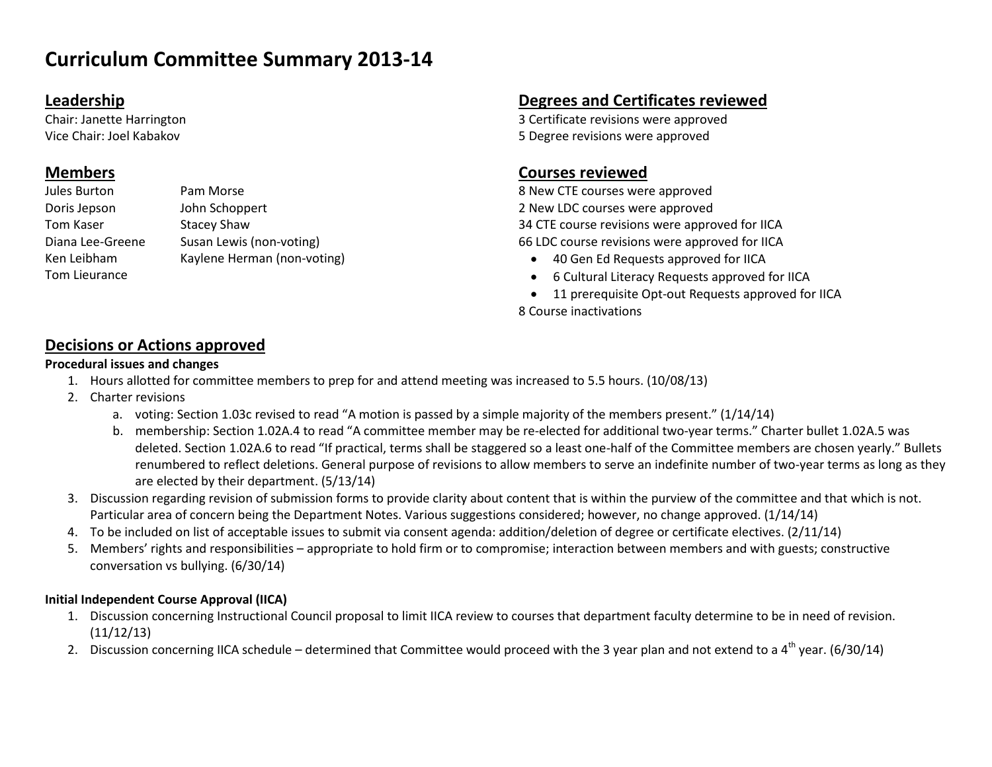# **Curriculum Committee Summary 2013-14**

### **Leadership**

Chair: Janette Harrington Vice Chair: Joel Kabakov

## **Members**

| Jules Burton     | Pam Morse                   |
|------------------|-----------------------------|
| Doris Jepson     | John Schoppert              |
| Tom Kaser        | <b>Stacey Shaw</b>          |
| Diana Lee-Greene | Susan Lewis (non-voting)    |
| Ken Leibham      | Kaylene Herman (non-voting) |
| Tom Lieurance    |                             |

## **Degrees and Certificates reviewed**

3 Certificate revisions were approved 5 Degree revisions were approved

## **Courses reviewed**

8 New CTE courses were approved 2 New LDC courses were approved 34 CTE course revisions were approved for IICA 66 LDC course revisions were approved for IICA

- 40 Gen Ed Requests approved for IICA
- 6 Cultural Literacy Requests approved for IICA
- 11 prerequisite Opt-out Requests approved for IICA 8 Course inactivations

## **Decisions or Actions approved**

#### **Procedural issues and changes**

- 1. Hours allotted for committee members to prep for and attend meeting was increased to 5.5 hours. (10/08/13)
- 2. Charter revisions
	- a. voting: Section 1.03c revised to read "A motion is passed by a simple majority of the members present." (1/14/14)
	- b. membership: Section 1.02A.4 to read "A committee member may be re-elected for additional two-year terms." Charter bullet 1.02A.5 was deleted. Section 1.02A.6 to read "If practical, terms shall be staggered so a least one-half of the Committee members are chosen yearly." Bullets renumbered to reflect deletions. General purpose of revisions to allow members to serve an indefinite number of two-year terms as long as they are elected by their department. (5/13/14)
- 3. Discussion regarding revision of submission forms to provide clarity about content that is within the purview of the committee and that which is not. Particular area of concern being the Department Notes. Various suggestions considered; however, no change approved. (1/14/14)
- 4. To be included on list of acceptable issues to submit via consent agenda: addition/deletion of degree or certificate electives. (2/11/14)
- 5. Members' rights and responsibilities appropriate to hold firm or to compromise; interaction between members and with guests; constructive conversation vs bullying. (6/30/14)

#### **Initial Independent Course Approval (IICA)**

- 1. Discussion concerning Instructional Council proposal to limit IICA review to courses that department faculty determine to be in need of revision. (11/12/13)
- 2. Discussion concerning IICA schedule determined that Committee would proceed with the 3 year plan and not extend to a  $4<sup>th</sup>$  year. (6/30/14)